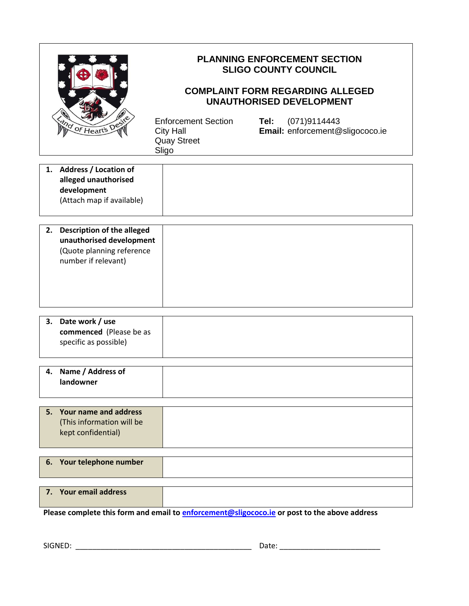| My of Heart's Des                                                                                                       | <b>PLANNING ENFORCEMENT SECTION</b><br><b>SLIGO COUNTY COUNCIL</b><br><b>COMPLAINT FORM REGARDING ALLEGED</b><br><b>UNAUTHORISED DEVELOPMENT</b> |                                                         |
|-------------------------------------------------------------------------------------------------------------------------|--------------------------------------------------------------------------------------------------------------------------------------------------|---------------------------------------------------------|
|                                                                                                                         | <b>Enforcement Section</b><br><b>City Hall</b><br><b>Quay Street</b><br>Sligo                                                                    | (071)9114443<br>Tel:<br>Email: enforcement@sligococo.ie |
| 1. Address / Location of<br>alleged unauthorised<br>development<br>(Attach map if available)                            |                                                                                                                                                  |                                                         |
| <b>Description of the alleged</b><br>2.<br>unauthorised development<br>(Quote planning reference<br>number if relevant) |                                                                                                                                                  |                                                         |
| 3. Date work / use<br>commenced (Please be as<br>specific as possible)                                                  |                                                                                                                                                  |                                                         |
| Name / Address of<br>4.<br>landowner                                                                                    |                                                                                                                                                  |                                                         |
| <b>Your name and address</b><br>5.<br>(This information will be<br>kept confidential)                                   |                                                                                                                                                  |                                                         |
| 6. Your telephone number                                                                                                |                                                                                                                                                  |                                                         |
| 7. Your email address                                                                                                   |                                                                                                                                                  |                                                         |
| Please complete this form and email to enforcement@sligococo.ie or post to the above address                            |                                                                                                                                                  |                                                         |

 $\overline{\phantom{0}}$